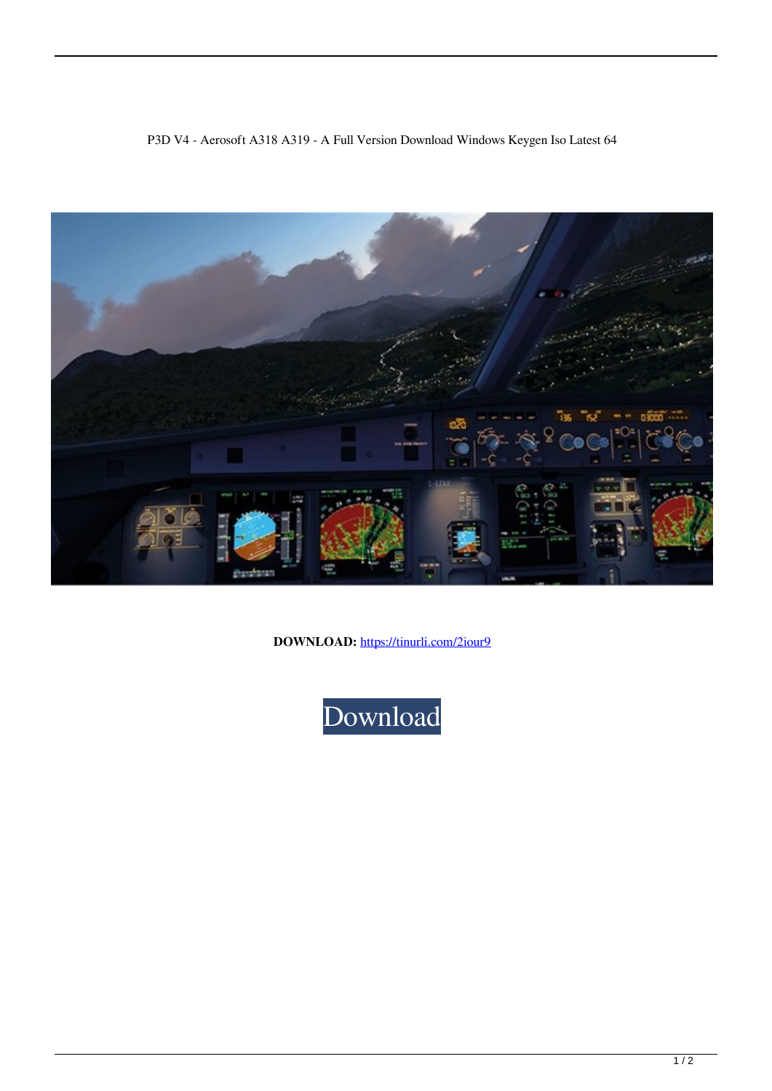



**DOWNLOAD:** <https://tinurli.com/2iour9>